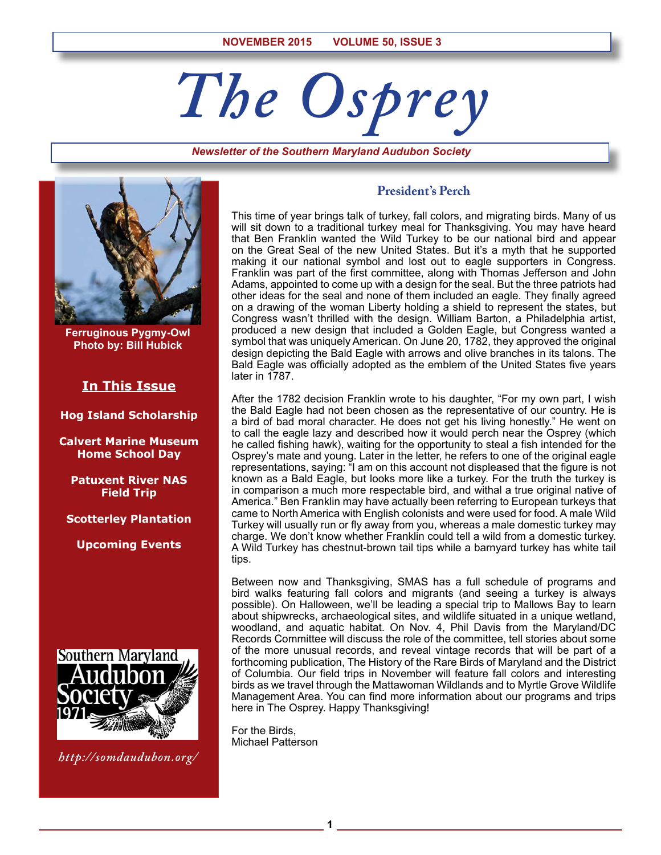# *The Osprey*

*Newsletter of the Southern Maryland Audubon Society*



**Ferruginous Pygmy-Owl Photo by: Bill Hubick**

# **In This Issue**

**Hog Island Scholarship**

**Calvert Marine Museum Home School Day**

**Patuxent River NAS Field Trip**

**Scotterley Plantation**

**Upcoming Events**



*http://somdaudubon.org/*

# **President's Perch**

This time of year brings talk of turkey, fall colors, and migrating birds. Many of us will sit down to a traditional turkey meal for Thanksgiving. You may have heard that Ben Franklin wanted the Wild Turkey to be our national bird and appear on the Great Seal of the new United States. But it's a myth that he supported making it our national symbol and lost out to eagle supporters in Congress. Franklin was part of the first committee, along with Thomas Jefferson and John Adams, appointed to come up with a design for the seal. But the three patriots had other ideas for the seal and none of them included an eagle. They finally agreed on a drawing of the woman Liberty holding a shield to represent the states, but Congress wasn't thrilled with the design. William Barton, a Philadelphia artist, produced a new design that included a Golden Eagle, but Congress wanted a symbol that was uniquely American. On June 20, 1782, they approved the original design depicting the Bald Eagle with arrows and olive branches in its talons. The Bald Eagle was officially adopted as the emblem of the United States five years later in 1787.

After the 1782 decision Franklin wrote to his daughter, "For my own part, I wish the Bald Eagle had not been chosen as the representative of our country. He is a bird of bad moral character. He does not get his living honestly." He went on to call the eagle lazy and described how it would perch near the Osprey (which he called fishing hawk), waiting for the opportunity to steal a fish intended for the Osprey's mate and young. Later in the letter, he refers to one of the original eagle representations, saying: "I am on this account not displeased that the figure is not known as a Bald Eagle, but looks more like a turkey. For the truth the turkey is in comparison a much more respectable bird, and withal a true original native of America." Ben Franklin may have actually been referring to European turkeys that came to North America with English colonists and were used for food. A male Wild Turkey will usually run or fly away from you, whereas a male domestic turkey may charge. We don't know whether Franklin could tell a wild from a domestic turkey. A Wild Turkey has chestnut-brown tail tips while a barnyard turkey has white tail tips.

Between now and Thanksgiving, SMAS has a full schedule of programs and bird walks featuring fall colors and migrants (and seeing a turkey is always possible). On Halloween, we'll be leading a special trip to Mallows Bay to learn about shipwrecks, archaeological sites, and wildlife situated in a unique wetland, woodland, and aquatic habitat. On Nov. 4, Phil Davis from the Maryland/DC Records Committee will discuss the role of the committee, tell stories about some of the more unusual records, and reveal vintage records that will be part of a forthcoming publication, The History of the Rare Birds of Maryland and the District of Columbia. Our field trips in November will feature fall colors and interesting birds as we travel through the Mattawoman Wildlands and to Myrtle Grove Wildlife Management Area. You can find more information about our programs and trips here in The Osprey. Happy Thanksgiving!

For the Birds, Michael Patterson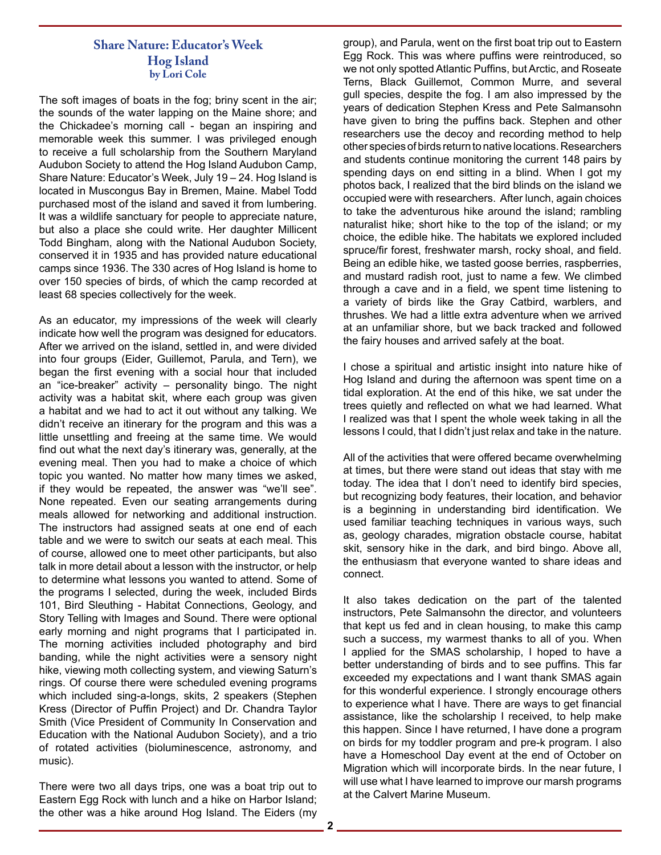# **Share Nature: Educator's Week Hog Island by Lori Cole**

The soft images of boats in the fog; briny scent in the air; the sounds of the water lapping on the Maine shore; and the Chickadee's morning call - began an inspiring and memorable week this summer. I was privileged enough to receive a full scholarship from the Southern Maryland Audubon Society to attend the Hog Island Audubon Camp, Share Nature: Educator's Week, July 19 – 24. Hog Island is located in Muscongus Bay in Bremen, Maine. Mabel Todd purchased most of the island and saved it from lumbering. It was a wildlife sanctuary for people to appreciate nature, but also a place she could write. Her daughter Millicent Todd Bingham, along with the National Audubon Society, conserved it in 1935 and has provided nature educational camps since 1936. The 330 acres of Hog Island is home to over 150 species of birds, of which the camp recorded at least 68 species collectively for the week.

As an educator, my impressions of the week will clearly indicate how well the program was designed for educators. After we arrived on the island, settled in, and were divided into four groups (Eider, Guillemot, Parula, and Tern), we began the first evening with a social hour that included an "ice-breaker" activity – personality bingo. The night activity was a habitat skit, where each group was given a habitat and we had to act it out without any talking. We didn't receive an itinerary for the program and this was a little unsettling and freeing at the same time. We would find out what the next day's itinerary was, generally, at the evening meal. Then you had to make a choice of which topic you wanted. No matter how many times we asked, if they would be repeated, the answer was "we'll see". None repeated. Even our seating arrangements during meals allowed for networking and additional instruction. The instructors had assigned seats at one end of each table and we were to switch our seats at each meal. This of course, allowed one to meet other participants, but also talk in more detail about a lesson with the instructor, or help to determine what lessons you wanted to attend. Some of the programs I selected, during the week, included Birds 101, Bird Sleuthing - Habitat Connections, Geology, and Story Telling with Images and Sound. There were optional early morning and night programs that I participated in. The morning activities included photography and bird banding, while the night activities were a sensory night hike, viewing moth collecting system, and viewing Saturn's rings. Of course there were scheduled evening programs which included sing-a-longs, skits, 2 speakers (Stephen Kress (Director of Puffin Project) and Dr. Chandra Taylor Smith (Vice President of Community In Conservation and Education with the National Audubon Society), and a trio of rotated activities (bioluminescence, astronomy, and music).

There were two all days trips, one was a boat trip out to Eastern Egg Rock with lunch and a hike on Harbor Island; the other was a hike around Hog Island. The Eiders (my

group), and Parula, went on the first boat trip out to Eastern Egg Rock. This was where puffins were reintroduced, so we not only spotted Atlantic Puffins, but Arctic, and Roseate Terns, Black Guillemot, Common Murre, and several gull species, despite the fog. I am also impressed by the years of dedication Stephen Kress and Pete Salmansohn have given to bring the puffins back. Stephen and other researchers use the decoy and recording method to help other species of birds return to native locations. Researchers and students continue monitoring the current 148 pairs by spending days on end sitting in a blind. When I got my photos back, I realized that the bird blinds on the island we occupied were with researchers. After lunch, again choices to take the adventurous hike around the island; rambling naturalist hike; short hike to the top of the island; or my choice, the edible hike. The habitats we explored included spruce/fir forest, freshwater marsh, rocky shoal, and field. Being an edible hike, we tasted goose berries, raspberries, and mustard radish root, just to name a few. We climbed through a cave and in a field, we spent time listening to a variety of birds like the Gray Catbird, warblers, and thrushes. We had a little extra adventure when we arrived at an unfamiliar shore, but we back tracked and followed the fairy houses and arrived safely at the boat.

I chose a spiritual and artistic insight into nature hike of Hog Island and during the afternoon was spent time on a tidal exploration. At the end of this hike, we sat under the trees quietly and reflected on what we had learned. What I realized was that I spent the whole week taking in all the lessons I could, that I didn't just relax and take in the nature.

All of the activities that were offered became overwhelming at times, but there were stand out ideas that stay with me today. The idea that I don't need to identify bird species, but recognizing body features, their location, and behavior is a beginning in understanding bird identification. We used familiar teaching techniques in various ways, such as, geology charades, migration obstacle course, habitat skit, sensory hike in the dark, and bird bingo. Above all, the enthusiasm that everyone wanted to share ideas and connect.

It also takes dedication on the part of the talented instructors, Pete Salmansohn the director, and volunteers that kept us fed and in clean housing, to make this camp such a success, my warmest thanks to all of you. When I applied for the SMAS scholarship, I hoped to have a better understanding of birds and to see puffins. This far exceeded my expectations and I want thank SMAS again for this wonderful experience. I strongly encourage others to experience what I have. There are ways to get financial assistance, like the scholarship I received, to help make this happen. Since I have returned, I have done a program on birds for my toddler program and pre-k program. I also have a Homeschool Day event at the end of October on Migration which will incorporate birds. In the near future, I will use what I have learned to improve our marsh programs at the Calvert Marine Museum.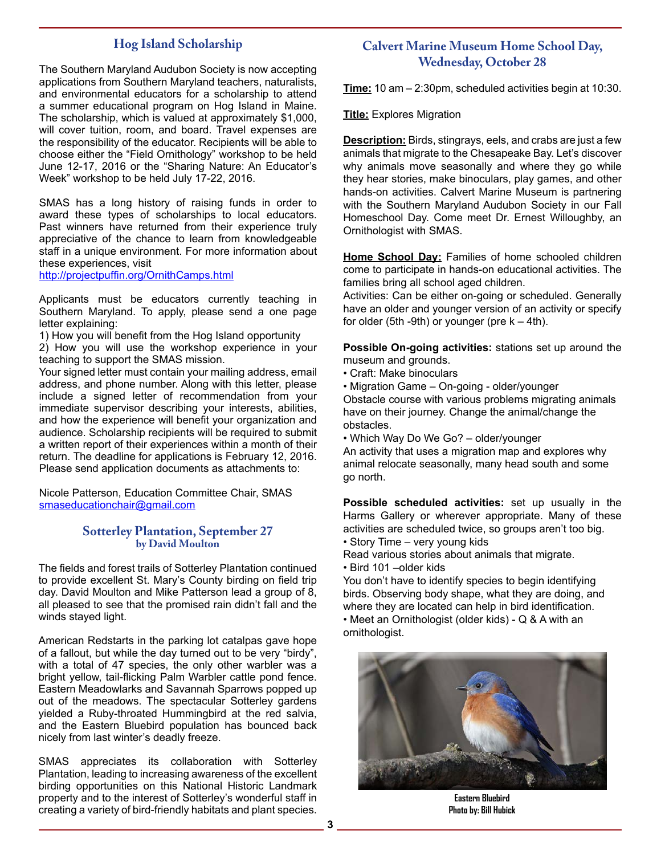# **Hog Island Scholarship**

The Southern Maryland Audubon Society is now accepting applications from Southern Maryland teachers, naturalists, and environmental educators for a scholarship to attend a summer educational program on Hog Island in Maine. The scholarship, which is valued at approximately \$1,000, will cover tuition, room, and board. Travel expenses are the responsibility of the educator. Recipients will be able to choose either the "Field Ornithology" workshop to be held June 12-17, 2016 or the "Sharing Nature: An Educator's Week" workshop to be held July 17-22, 2016.

SMAS has a long history of raising funds in order to award these types of scholarships to local educators. Past winners have returned from their experience truly appreciative of the chance to learn from knowledgeable staff in a unique environment. For more information about these experiences, visit

http://projectpuffin.org/OrnithCamps.html

Applicants must be educators currently teaching in Southern Maryland. To apply, please send a one page letter explaining:

1) How you will benefit from the Hog Island opportunity

2) How you will use the workshop experience in your teaching to support the SMAS mission.

Your signed letter must contain your mailing address, email address, and phone number. Along with this letter, please include a signed letter of recommendation from your immediate supervisor describing your interests, abilities, and how the experience will benefit your organization and audience. Scholarship recipients will be required to submit a written report of their experiences within a month of their return. The deadline for applications is February 12, 2016. Please send application documents as attachments to:

Nicole Patterson, Education Committee Chair, SMAS smaseducationchair@gmail.com

## **Sotterley Plantation, September 27 by David Moulton**

The fields and forest trails of Sotterley Plantation continued to provide excellent St. Mary's County birding on field trip day. David Moulton and Mike Patterson lead a group of 8, all pleased to see that the promised rain didn't fall and the winds stayed light.

American Redstarts in the parking lot catalpas gave hope of a fallout, but while the day turned out to be very "birdy", with a total of 47 species, the only other warbler was a bright yellow, tail-flicking Palm Warbler cattle pond fence. Eastern Meadowlarks and Savannah Sparrows popped up out of the meadows. The spectacular Sotterley gardens yielded a Ruby-throated Hummingbird at the red salvia, and the Eastern Bluebird population has bounced back nicely from last winter's deadly freeze.

SMAS appreciates its collaboration with Sotterley Plantation, leading to increasing awareness of the excellent birding opportunities on this National Historic Landmark property and to the interest of Sotterley's wonderful staff in creating a variety of bird-friendly habitats and plant species.

# **Calvert Marine Museum Home School Day, Wednesday, October 28**

**Time:** 10 am – 2:30pm, scheduled activities begin at 10:30.

**Title:** Explores Migration

**Description:** Birds, stingrays, eels, and crabs are just a few animals that migrate to the Chesapeake Bay. Let's discover why animals move seasonally and where they go while they hear stories, make binoculars, play games, and other hands-on activities. Calvert Marine Museum is partnering with the Southern Maryland Audubon Society in our Fall Homeschool Day. Come meet Dr. Ernest Willoughby, an Ornithologist with SMAS.

**Home School Day:** Families of home schooled children come to participate in hands-on educational activities. The families bring all school aged children.

Activities: Can be either on-going or scheduled. Generally have an older and younger version of an activity or specify for older (5th -9th) or younger (pre  $k - 4$ th).

**Possible On-going activities:** stations set up around the museum and grounds.

• Craft: Make binoculars

• Migration Game – On-going - older/younger

Obstacle course with various problems migrating animals have on their journey. Change the animal/change the obstacles.

• Which Way Do We Go? – older/younger

An activity that uses a migration map and explores why animal relocate seasonally, many head south and some go north.

**Possible scheduled activities:** set up usually in the Harms Gallery or wherever appropriate. Many of these activities are scheduled twice, so groups aren't too big.

• Story Time – very young kids

Read various stories about animals that migrate.

• Bird 101 –older kids

You don't have to identify species to begin identifying birds. Observing body shape, what they are doing, and where they are located can help in bird identification.

• Meet an Ornithologist (older kids) - Q & A with an ornithologist.



**Eastern Bluebird Photo by: Bill Hubick**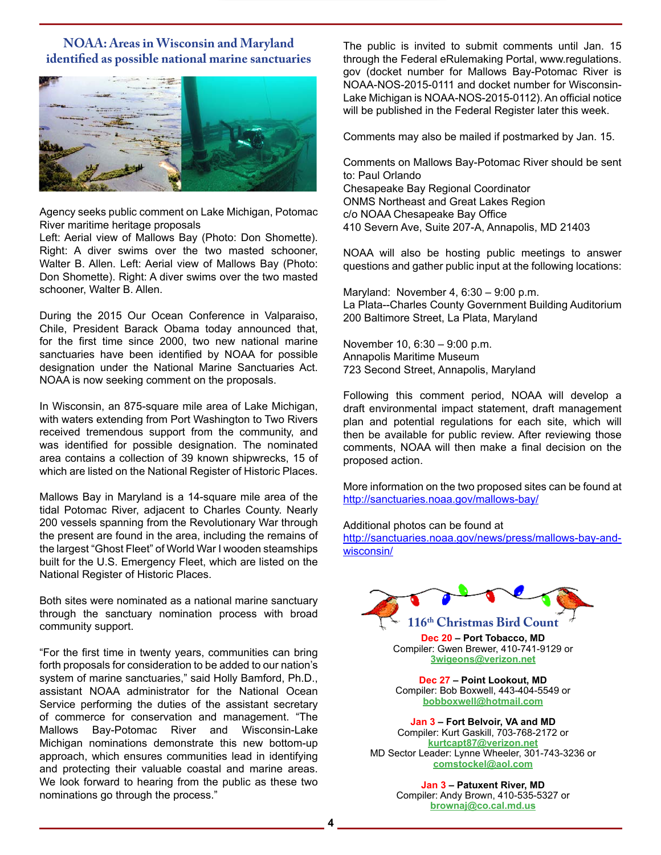# **NOAA: Areas in Wisconsin and Maryland identified as possible national marine sanctuaries**



Agency seeks public comment on Lake Michigan, Potomac River maritime heritage proposals

Left: Aerial view of Mallows Bay (Photo: Don Shomette). Right: A diver swims over the two masted schooner, Walter B. Allen. Left: Aerial view of Mallows Bay (Photo: Don Shomette). Right: A diver swims over the two masted schooner, Walter B. Allen.

During the 2015 Our Ocean Conference in Valparaiso, Chile, President Barack Obama today announced that, for the first time since 2000, two new national marine sanctuaries have been identified by NOAA for possible designation under the National Marine Sanctuaries Act. NOAA is now seeking comment on the proposals.

In Wisconsin, an 875-square mile area of Lake Michigan, with waters extending from Port Washington to Two Rivers received tremendous support from the community, and was identified for possible designation. The nominated area contains a collection of 39 known shipwrecks, 15 of which are listed on the National Register of Historic Places.

Mallows Bay in Maryland is a 14-square mile area of the tidal Potomac River, adjacent to Charles County. Nearly 200 vessels spanning from the Revolutionary War through the present are found in the area, including the remains of the largest "Ghost Fleet" of World War I wooden steamships built for the U.S. Emergency Fleet, which are listed on the National Register of Historic Places.

Both sites were nominated as a national marine sanctuary through the sanctuary nomination process with broad community support.

"For the first time in twenty years, communities can bring forth proposals for consideration to be added to our nation's system of marine sanctuaries," said Holly Bamford, Ph.D., assistant NOAA administrator for the National Ocean Service performing the duties of the assistant secretary of commerce for conservation and management. "The Mallows Bay-Potomac River and Wisconsin-Lake Michigan nominations demonstrate this new bottom-up approach, which ensures communities lead in identifying and protecting their valuable coastal and marine areas. We look forward to hearing from the public as these two nominations go through the process."

The public is invited to submit comments until Jan. 15 through the Federal eRulemaking Portal, www.regulations. gov (docket number for Mallows Bay-Potomac River is NOAA-NOS-2015-0111 and docket number for Wisconsin-Lake Michigan is NOAA-NOS-2015-0112). An official notice will be published in the Federal Register later this week.

Comments may also be mailed if postmarked by Jan. 15.

Comments on Mallows Bay-Potomac River should be sent to: Paul Orlando Chesapeake Bay Regional Coordinator ONMS Northeast and Great Lakes Region c/o NOAA Chesapeake Bay Office 410 Severn Ave, Suite 207-A, Annapolis, MD 21403

NOAA will also be hosting public meetings to answer questions and gather public input at the following locations:

Maryland: November 4, 6:30 – 9:00 p.m. La Plata--Charles County Government Building Auditorium 200 Baltimore Street, La Plata, Maryland

November 10, 6:30 – 9:00 p.m. Annapolis Maritime Museum 723 Second Street, Annapolis, Maryland

Following this comment period, NOAA will develop a draft environmental impact statement, draft management plan and potential regulations for each site, which will then be available for public review. After reviewing those comments, NOAA will then make a final decision on the proposed action.

More information on the two proposed sites can be found at http://sanctuaries.noaa.gov/mallows-bay/

Additional photos can be found at

http://sanctuaries.noaa.gov/news/press/mallows-bay-andwisconsin/



**Dec 20 – Port Tobacco, MD** Compiler: Gwen Brewer, 410-741-9129 or **3wigeons@verizon.net**

**Dec 27 – Point Lookout, MD** Compiler: Bob Boxwell, 443-404-5549 or **bobboxwell@hotmail.com**

**Jan 3 – Fort Belvoir, VA and MD** Compiler: Kurt Gaskill, 703-768-2172 or **kurtcapt87@verizon.net** MD Sector Leader: Lynne Wheeler, 301-743-3236 or **comstockel@aol.com**

> **Jan 3 – Patuxent River, MD** Compiler: Andy Brown, 410-535-5327 or **brownaj@co.cal.md.us**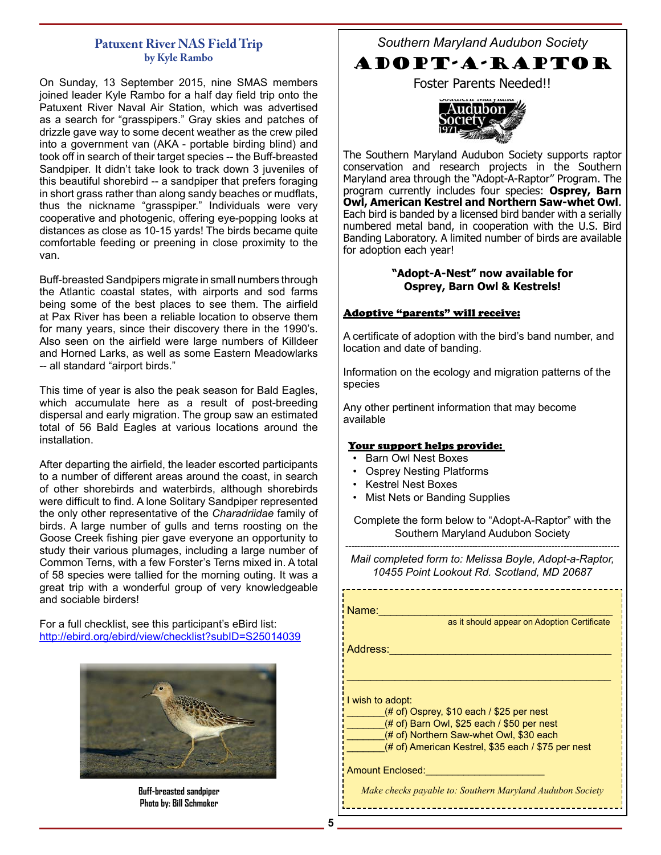# **Patuxent River NAS Field Trip by Kyle Rambo**

On Sunday, 13 September 2015, nine SMAS members joined leader Kyle Rambo for a half day field trip onto the Patuxent River Naval Air Station, which was advertised as a search for "grasspipers." Gray skies and patches of drizzle gave way to some decent weather as the crew piled into a government van (AKA - portable birding blind) and took off in search of their target species -- the Buff-breasted Sandpiper. It didn't take look to track down 3 juveniles of this beautiful shorebird -- a sandpiper that prefers foraging in short grass rather than along sandy beaches or mudflats, thus the nickname "grasspiper." Individuals were very cooperative and photogenic, offering eye-popping looks at distances as close as 10-15 yards! The birds became quite comfortable feeding or preening in close proximity to the van.

Buff-breasted Sandpipers migrate in small numbers through the Atlantic coastal states, with airports and sod farms being some of the best places to see them. The airfield at Pax River has been a reliable location to observe them for many years, since their discovery there in the 1990's. Also seen on the airfield were large numbers of Killdeer and Horned Larks, as well as some Eastern Meadowlarks -- all standard "airport birds."

This time of year is also the peak season for Bald Eagles, which accumulate here as a result of post-breeding dispersal and early migration. The group saw an estimated total of 56 Bald Eagles at various locations around the installation.

After departing the airfield, the leader escorted participants to a number of different areas around the coast, in search of other shorebirds and waterbirds, although shorebirds were difficult to find. A lone Solitary Sandpiper represented the only other representative of the *Charadriidae* family of birds. A large number of gulls and terns roosting on the Goose Creek fishing pier gave everyone an opportunity to study their various plumages, including a large number of Common Terns, with a few Forster's Terns mixed in. A total of 58 species were tallied for the morning outing. It was a great trip with a wonderful group of very knowledgeable and sociable birders!

For a full checklist, see this participant's eBird list: http://ebird.org/ebird/view/checklist?subID=S25014039



**Buff-breasted sandpiper Photo by: Bill Schmoker**

*Southern Maryland Audubon Society*

# ADOPT-A-RAPTOR

Foster Parents Needed!!



The Southern Maryland Audubon Society supports raptor conservation and research projects in the Southern Maryland area through the "Adopt-A-Raptor" Program. The program currently includes four species: **Osprey, Barn Owl, American Kestrel and Northern Saw-whet Owl**. Each bird is banded by a licensed bird bander with a serially numbered metal band, in cooperation with the U.S. Bird Banding Laboratory. A limited number of birds are available for adoption each year!

## **"Adopt-A-Nest" now available for Osprey, Barn Owl & Kestrels!**

## Adoptive "parents" will receive:

A certificate of adoption with the bird's band number, and location and date of banding.

Information on the ecology and migration patterns of the species

Any other pertinent information that may become available

## Your support helps provide:

- Barn Owl Nest Boxes
- Osprey Nesting Platforms
- Kestrel Nest Boxes
- Mist Nets or Banding Supplies

Complete the form below to "Adopt-A-Raptor" with the Southern Maryland Audubon Society

--------------------------------------------------------------------------------------------- *Mail completed form to: Melissa Boyle, Adopt-a-Raptor, 10455 Point Lookout Rd. Scotland, MD 20687*

Name:\_\_\_\_\_\_\_\_\_\_\_\_\_\_\_\_\_\_\_\_\_\_\_\_\_\_\_\_\_\_\_\_\_\_\_\_\_\_\_

as it should appear on Adoption Certificate

Address:

I wish to adopt:

 $(# of)$  Osprey, \$10 each / \$25 per nest

(# of) Barn Owl, \$25 each / \$50 per nest

(# of) Northern Saw-whet Owl, \$30 each

(# of) American Kestrel, \$35 each / \$75 per nest

\_\_\_\_\_\_\_\_\_\_\_\_\_\_\_\_\_\_\_\_\_\_\_\_\_\_\_\_\_\_\_\_\_\_\_\_\_\_\_\_\_\_\_\_

Amount Enclosed:

*Make checks payable to: Southern Maryland Audubon Society*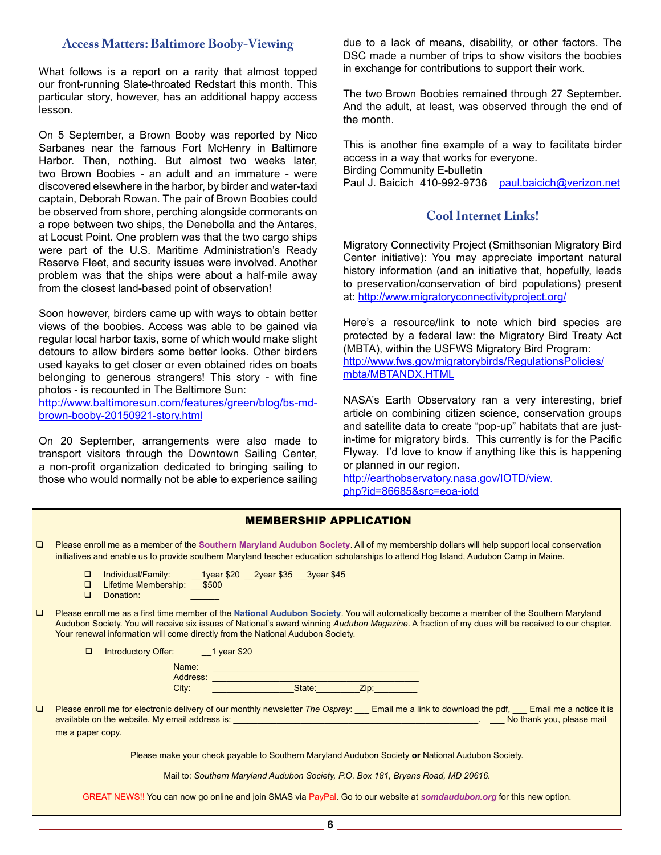# **Access Matters: Baltimore Booby-Viewing**

What follows is a report on a rarity that almost topped our front-running Slate-throated Redstart this month. This particular story, however, has an additional happy access lesson.

On 5 September, a Brown Booby was reported by Nico Sarbanes near the famous Fort McHenry in Baltimore Harbor. Then, nothing. But almost two weeks later, two Brown Boobies - an adult and an immature - were discovered elsewhere in the harbor, by birder and water-taxi captain, Deborah Rowan. The pair of Brown Boobies could be observed from shore, perching alongside cormorants on a rope between two ships, the Denebolla and the Antares, at Locust Point. One problem was that the two cargo ships were part of the U.S. Maritime Administration's Ready Reserve Fleet, and security issues were involved. Another problem was that the ships were about a half-mile away from the closest land-based point of observation!

Soon however, birders came up with ways to obtain better views of the boobies. Access was able to be gained via regular local harbor taxis, some of which would make slight detours to allow birders some better looks. Other birders used kayaks to get closer or even obtained rides on boats belonging to generous strangers! This story - with fine photos - is recounted in The Baltimore Sun:

http://www.baltimoresun.com/features/green/blog/bs-mdbrown-booby-20150921-story.html

On 20 September, arrangements were also made to transport visitors through the Downtown Sailing Center, a non-profit organization dedicated to bringing sailing to those who would normally not be able to experience sailing due to a lack of means, disability, or other factors. The DSC made a number of trips to show visitors the boobies in exchange for contributions to support their work.

The two Brown Boobies remained through 27 September. And the adult, at least, was observed through the end of the month.

This is another fine example of a way to facilitate birder access in a way that works for everyone. Birding Community E-bulletin Paul J. Baicich 410-992-9736 paul.baicich@verizon.net

# **Cool Internet Links!**

Migratory Connectivity Project (Smithsonian Migratory Bird Center initiative): You may appreciate important natural history information (and an initiative that, hopefully, leads to preservation/conservation of bird populations) present at: http://www.migratoryconnectivityproject.org/

Here's a resource/link to note which bird species are protected by a federal law: the Migratory Bird Treaty Act (MBTA), within the USFWS Migratory Bird Program: http://www.fws.gov/migratorybirds/RegulationsPolicies/ mbta/MBTANDX.HTML

NASA's Earth Observatory ran a very interesting, brief article on combining citizen science, conservation groups and satellite data to create "pop-up" habitats that are justin-time for migratory birds. This currently is for the Pacific Flyway. I'd love to know if anything like this is happening or planned in our region.

http://earthobservatory.nasa.gov/IOTD/view. php?id=86685&src=eoa-iotd

|        | <b>MEMBERSHIP APPLICATION</b>                                                                                                                                                                                                                                                                                                                                                                                  |
|--------|----------------------------------------------------------------------------------------------------------------------------------------------------------------------------------------------------------------------------------------------------------------------------------------------------------------------------------------------------------------------------------------------------------------|
| $\Box$ | Please enroll me as a member of the Southern Maryland Audubon Society. All of my membership dollars will help support local conservation<br>initiatives and enable us to provide southern Maryland teacher education scholarships to attend Hog Island, Audubon Camp in Maine.                                                                                                                                 |
|        | Individual/Family:<br>1year \$20 2year \$35 3year \$45<br>$\Box$<br>Lifetime Membership: __ \$500<br>$\Box$<br>$\Box$<br>Donation:                                                                                                                                                                                                                                                                             |
| $\Box$ | Please enroll me as a first time member of the National Audubon Society. You will automatically become a member of the Southern Maryland<br>Audubon Society. You will receive six issues of National's award winning Audubon Magazine. A fraction of my dues will be received to our chapter.<br>Your renewal information will come directly from the National Audubon Society.                                |
|        | <b>Introductory Offer:</b><br>$\Box$<br>$1$ year \$20                                                                                                                                                                                                                                                                                                                                                          |
|        | Name:                                                                                                                                                                                                                                                                                                                                                                                                          |
|        | Zip:<br>State:<br>City:                                                                                                                                                                                                                                                                                                                                                                                        |
| $\Box$ | Please enroll me for electronic delivery of our monthly newsletter The Osprey: ___ Email me a link to download the pdf, ___ Email me a notice it is<br>available on the website. My email address is: <b>effect to a controlled a controlled and controlled a</b> controlled a controlled a controlled a controlled a controlled a controlled a controlled a controlled a controlled a con<br>me a paper copy. |
|        |                                                                                                                                                                                                                                                                                                                                                                                                                |
|        | Please make your check payable to Southern Maryland Audubon Society or National Audubon Society.                                                                                                                                                                                                                                                                                                               |
|        | Mail to: Southern Maryland Audubon Society, P.O. Box 181, Bryans Road, MD 20616.                                                                                                                                                                                                                                                                                                                               |
|        | GREAT NEWS!! You can now go online and join SMAS via PayPal. Go to our website at somdaudubon.org for this new option.                                                                                                                                                                                                                                                                                         |
|        | 6                                                                                                                                                                                                                                                                                                                                                                                                              |